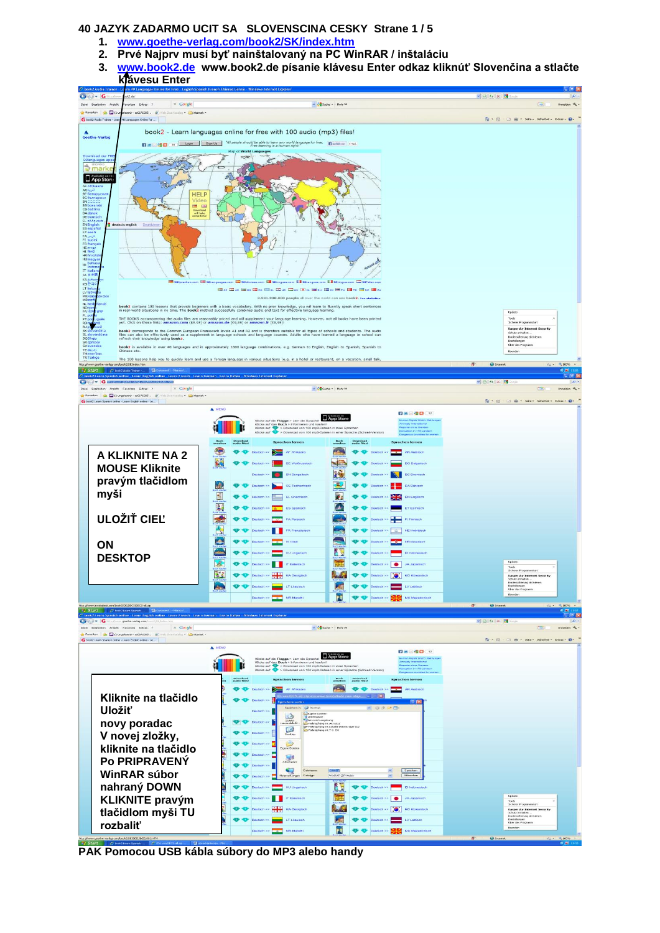### **40 JAZYK ZADARMO UCIT SA SLOVENSCINA CESKY Strane 1 / 5**

- **1. [www.goethe-verlag.com/book2/SK/index.htm](http://www.goethe-verlag.com/book2/SK/index.htm)**
- **2. Prvé Najprv musí byť nainštalovaný na PC WinRAR / inštaláciu**
- **3. [www.book2.de](http://www.book2.de/) www.book2.de písanie klávesu Enter odkaz kliknúť Slovenčina a stlačte klávesu Enter**



**PAK Pomocou USB kábla súbory do MP3 alebo handy**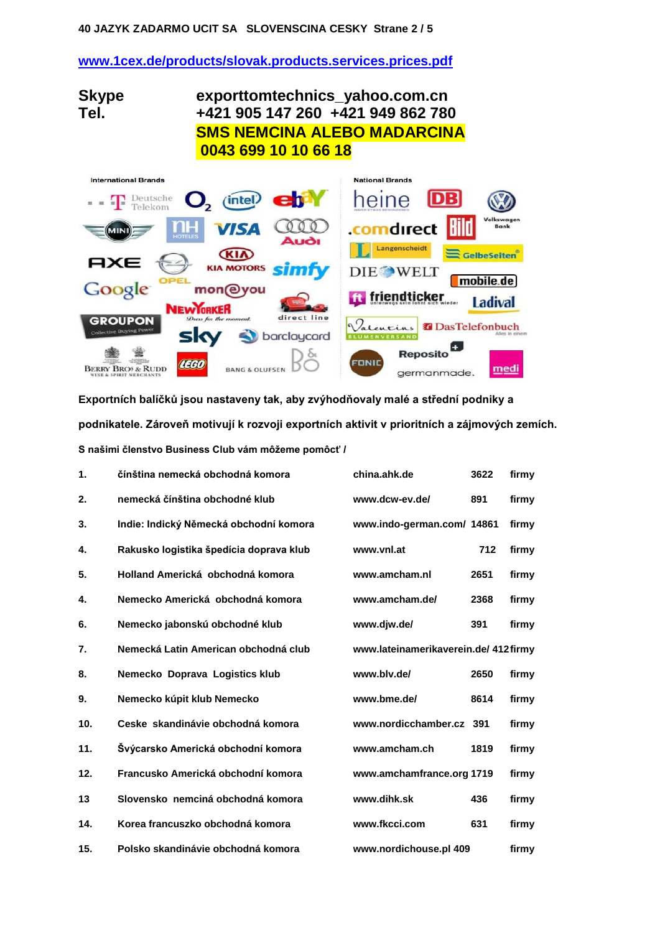### **40 JAZYK ZADARMO UCIT SA SLOVENSCINA CESKY Strane 2 / 5**

## **[www.1cex.de/products/slovak.products.services.prices.pdf](http://www.1cex.org/products/slovak.products.services.prices.pdf)**

**Skype exporttomtechnics\_yahoo.com.cn Tel. +421 905 147 260 +421 949 862 780 SMS NEMCINA ALEBO MADARCINA 0043 699 10 10 66 18**

| <b>International Brands</b>                                                                                                                                                 | <b>National Brands</b>                                                       |
|-----------------------------------------------------------------------------------------------------------------------------------------------------------------------------|------------------------------------------------------------------------------|
| $O2$ (intel) $ch4$<br>$\blacksquare$ $\blacksquare$ $\blacksquare$ $\blacksquare$ $\blacksquare$ $\blacksquare$ $\blacksquare$ $\blacksquare$ $\blacksquare$ $\blacksquare$ | $\overline{DB}$<br>heine                                                     |
| <b>VISA</b><br><b>NH</b><br>MINI)<br>HOTELES<br><b>Audi</b>                                                                                                                 | Volkswagen<br><b>Bild</b><br>comdirect<br><b>Bank</b>                        |
| <b>CKIA</b><br><b>AXE</b><br><b>KIA MOTORS</b><br>simfy                                                                                                                     | Langenscheidt<br>GelbeSeiten<br><b>DIE WELT</b><br>mobile.de                 |
| Google<br>mon@you<br><b>NEWYORKER</b>                                                                                                                                       | ft friendticker<br><b>Ladival</b>                                            |
| direct line<br>Dress for the moment.<br><b>GROUPON</b><br><b>Collective Buying Power</b><br>sky<br>Soldaycard                                                               | Jalentins <b>B</b> Das Telefonbuch<br>Alles in einem<br><b>BLUMENVERSAND</b> |
| <b>LEGO</b><br><b>BERRY BROS &amp; RUDD</b><br><b>WINE &amp; SPIRIT MERCHANTS</b>                                                                                           | <b>Reposito</b><br><b>FONIC</b><br>med<br>germanmade.                        |

**Exportních balíčků jsou nastaveny tak, aby zvýhodňovaly malé a střední podniky a podnikatele. Zároveň motivují k rozvoji exportních aktivit v prioritních a zájmových zemích.** S našimi členstvo Business Club vám môžeme pomôcť /

| 1.  | čínština nemecká obchodná komora        | china.ahk.de                         | 3622 | firmy |
|-----|-----------------------------------------|--------------------------------------|------|-------|
| 2.  | nemecká čínština obchodné klub          | www.dcw-ev.de/                       | 891  | firmy |
| 3.  | Indie: Indický Německá obchodní komora  | www.indo-german.com/ 14861           |      | firmy |
| 4.  | Rakusko logistika špedícia doprava klub | www.vnl.at                           | 712  | firmy |
| 5.  | Holland Americká obchodná komora        | www.amcham.nl                        | 2651 | firmy |
| 4.  | Nemecko Americká obchodná komora        | www.amcham.de/                       | 2368 | firmy |
| 6.  | Nemecko jabonskú obchodné klub          | www.djw.de/                          | 391  | firmy |
| 7.  | Nemecká Latin American obchodná club    | www.lateinamerikaverein.de/ 412firmy |      |       |
| 8.  | Nemecko Doprava Logistics klub          | www.blv.de/                          | 2650 | firmy |
| 9.  | Nemecko kúpit klub Nemecko              | www.bme.de/                          | 8614 | firmy |
| 10. | Ceske skandinávie obchodná komora       | www.nordicchamber.cz                 | 391  | firmy |
| 11. | Švýcarsko Americká obchodní komora      | www.amcham.ch                        | 1819 | firmy |
| 12. | Francusko Americká obchodní komora      | www.amchamfrance.org 1719            |      | firmy |
| 13  | Slovensko nemciná obchodná komora       | www.dihk.sk                          | 436  | firmy |
| 14. | Korea francuszko obchodná komora        | www.fkcci.com                        | 631  | firmy |
| 15. | Polsko skandinávie obchodná komora      | www.nordichouse.pl 409               |      | firmy |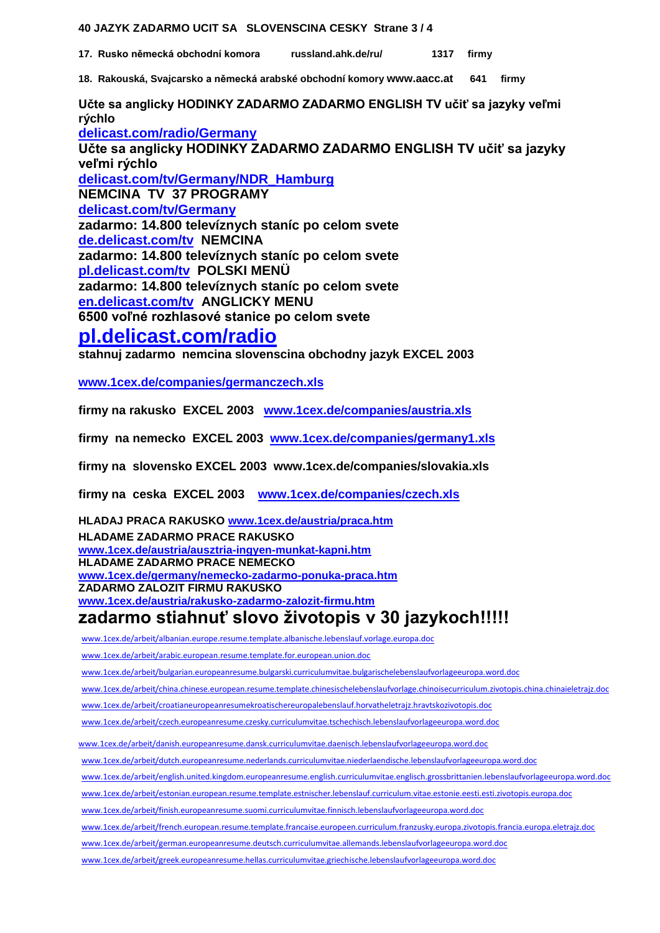### **40 JAZYK ZADARMO UCIT SA SLOVENSCINA CESKY Strane 3 / 4**

**17. Rusko německá obchodní komora [russland.ahk.de/ru/](http://russland.ahk.de/ru/) 1317 firmy**

**18. Rakouská, Svajcarsko a německá arabské obchodní komory [www.aacc.at](http://www.aacc.at/) 641 firmy**

**Učte sa anglicky HODINKY ZADARMO ZADARMO ENGLISH TV učiť sa jazyky veľmi rýchlo [delicast.com/radio/Germany](http://delicast.com/radio/Germany) Učte sa anglicky HODINKY ZADARMO ZADARMO ENGLISH TV učiť sa jazyky veľmi rýchlo [delicast.com/tv/Germany/NDR\\_Hamburg](http://delicast.com/tv/Germany/NDR_Hamburg)  NEMCINA TV 37 PROGRAMY [delicast.com/tv/Germany](http://delicast.com/tv/Germany) zadarmo: 14.800 televíznych staníc po celom svete [de.delicast.com/tv](http://de.delicast.com/tv) NEMCINA zadarmo: 14.800 televíznych staníc po celom svete [pl.delicast.com/tv](http://pl.delicast.com/tv) POLSKI MENÜ zadarmo: 14.800 televíznych staníc po celom svete [en.delicast.com/tv](http://en.delicast.com/tv) ANGLICKY MENU**

**6500 voľné rozhlasové stanice po celom svete**

# **[pl.delicast.com/radio](http://pl.delicast.com/radio)**

**stahnuj zadarmo nemcina slovenscina obchodny jazyk EXCEL 2003**

**[www.1cex.de/companies/germanczech.xls](http://www.1cex.de/companies/germanczech.xls)**

**firmy na rakusko EXCEL 2003 [www.1cex.de/companies/austria.xls](http://www.1cex.de/companies/austria.xls)**

**firmy na nemecko EXCEL 2003 [www.1cex.de/companies/germany1.xls](http://www.1cex.de/companies/germany1.xls)**

**firmy na slovensko EXCEL 2003 www.1cex.de/companies/slovakia.xls**

**firmy na ceska EXCEL 2003 [www.1cex.de/companies/czech.xls](http://www.1cex.de/companies/czech.xls)**

**HLADAJ PRACA RAKUSKO [www.1cex.de/austria/praca.htm](http://www.1cex.de/austria/praca.htm) HLADAME ZADARMO PRACE RAKUSKO [www.1cex.de/austria/ausztria-ingyen-munkat-kapni.htm](http://www.1cex.org/austria/ausztria-ingyen-munkat-kapni.htm) HLADAME ZADARMO PRACE NEMECKO [www.1cex.de/germany/nemecko-zadarmo-ponuka-praca.htm](http://www.1cex.org/germany/nemecko-zadarmo-ponuka-praca.htm) ZADARMO ZALOZIT FIRMU RAKUSKO [www.1cex.de/austria/rakusko-zadarmo-zalozit-firmu.htm](http://www.1cex.org/austria/rakusko-zadarmo-zalozit-firmu.htm)**

# zadarmo stiahnuť slovo životopis v 30 jazykoch!!!!!

[www.1cex.de/arbeit/albanian.europe.resume.template.albanische.lebenslauf.vorlage.europa.doc](http://www.1cex.org/arbeit/albanian.europe.resume.template.albanische.lebenslauf.vorlage.europa.doc)

[www.1cex.de/arbeit/arabic.european.resume.template.for.european.union.doc](http://www.1cex.org/arbeit/arabic.european.resume.template.for.european.union.doc)

[www.1cex.de/arbeit/bulgarian.europeanresume.bulgarski.curriculumvitae.bulgarischelebenslaufvorlageeuropa.word.doc](http://www.1cex.org/arbeit/bulgarian.europeanresume.bulgarski.curriculumvitae.bulgarischelebenslaufvorlageeuropa.word.doc)

[www.1cex.de/arbeit/china.chinese.european.resume.template.chinesischelebenslaufvorlage.chinoisecurriculum.zivotopis.china.chinaieletrajz.doc](http://www.1cex.org/arbeit/china.chinese.european.resume.template.chinesischelebenslaufvorlage.chinoisecurriculum.zivotopis.china.chinaieletrajz.doc)

[www.1cex.de/arbeit/croatianeuropeanresumekroatischereuropalebenslauf.horvatheletrajz.hravtskozivotopis.doc](http://www.1cex.org/arbeit/croatianeuropeanresumekroatischereuropalebenslauf.horvatheletrajz.hravtskozivotopis.doc)

[www.1cex.de/arbeit/czech.europeanresume.czesky.curriculumvitae.tschechisch.lebenslaufvorlageeuropa.word.doc](http://www.1cex.org/arbeit/czech.europeanresume.czesky.curriculumvitae.tschechisch.lebenslaufvorlageeuropa.word.doc)

[www.1cex.de/arbeit/danish.europeanresume.dansk.curriculumvitae.daenisch.lebenslaufvorlageeuropa.word.doc](http://www.1cex.org/arbeit/danish.europeanresume.dansk.curriculumvitae.daenisch.lebenslaufvorlageeuropa.word.doc)

[www.1cex.de/arbeit/dutch.europeanresume.nederlands.curriculumvitae.niederlaendische.lebenslaufvorlageeuropa.word.doc](http://www.1cex.org/arbeit/dutch.europeanresume.nederlands.curriculumvitae.niederlaendische.lebenslaufvorlageeuropa.word.doc)

[www.1cex.de/arbeit/english.united.kingdom.europeanresume.english.curriculumvitae.englisch.grossbrittanien.lebenslaufvorlageeuropa.word.doc](http://www.1cex.org/arbeit/english.united.kingdom.europeanresume.english.curriculumvitae.englisch.grossbrittanien.lebenslaufvorlageeuropa.word.doc)

[www.1cex.de/arbeit/estonian.european.resume.template.estnischer.lebenslauf.curriculum.vitae.estonie.eesti.esti.zivotopis.europa.doc](http://www.1cex.org/arbeit/estonian.european.resume.template.estnischer.lebenslauf.curriculum.vitae.estonie.eesti.esti.zivotopis.europa.doc)

[www.1cex.de/arbeit/finish.europeanresume.suomi.curriculumvitae.finnisch.lebenslaufvorlageeuropa.word.doc](http://www.1cex.org/arbeit/finish.europeanresume.suomi.curriculumvitae.finnisch.lebenslaufvorlageeuropa.word.doc)

[www.1cex.de/arbeit/french.european.resume.template.francaise.europeen.curriculum.franzusky.europa.zivotopis.francia.europa.eletrajz.doc](http://www.1cex.org/arbeit/french.european.resume.template.francaise.europeen.curriculum.franzusky.europa.zivotopis.francia.europa.eletrajz.doc)

[www.1cex.de/arbeit/german.europeanresume.deutsch.curriculumvitae.allemands.lebenslaufvorlageeuropa.word.doc](http://www.1cex.org/arbeit/german.europeanresume.deutsch.curriculumvitae.allemands.lebenslaufvorlageeuropa.word.doc)

[www.1cex.de/arbeit/greek.europeanresume.hellas.curriculumvitae.griechische.lebenslaufvorlageeuropa.word.doc](http://www.1cex.org/arbeit/greek.europeanresume.hellas.curriculumvitae.griechische.lebenslaufvorlageeuropa.word.doc)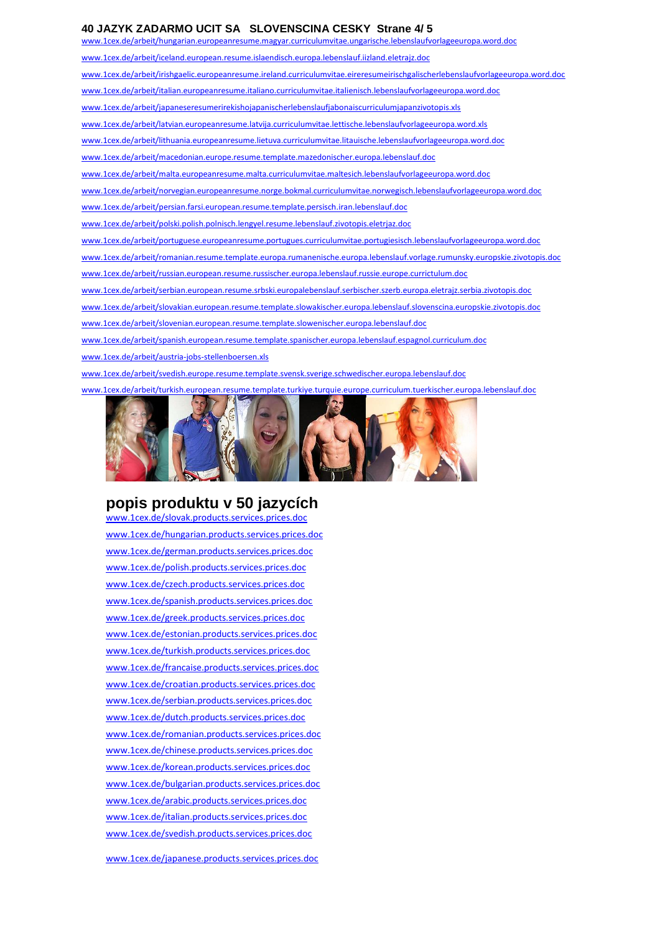#### **40 JAZYK ZADARMO UCIT SA SLOVENSCINA CESKY Strane 4/ 5**

[www.1cex.de/arbeit/hungarian.europeanresume.magyar.curriculumvitae.ungarische.lebenslaufvorlageeuropa.word.doc](http://www.1cex.org/arbeit/hungarian.europeanresume.magyar.curriculumvitae.ungarische.lebenslaufvorlageeuropa.word.doc)

[www.1cex.de/arbeit/iceland.european.resume.islaendisch.europa.lebenslauf.iizland.eletrajz.doc](http://www.1cex.org/arbeit/iceland.european.resume.islaendisch.europa.lebenslauf.iizland.eletrajz.doc)

[www.1cex.de/arbeit/irishgaelic.europeanresume.ireland.curriculumvitae.eireresumeirischgalischerlebenslaufvorlageeuropa.word.doc](http://www.1cex.org/arbeit/irishgaelic.europeanresume.ireland.curriculumvitae.eireresumeirischgalischerlebenslaufvorlageeuropa.word.doc)

[www.1cex.de/arbeit/italian.europeanresume.italiano.curriculumvitae.italienisch.lebenslaufvorlageeuropa.word.doc](http://www.1cex.org/arbeit/italian.europeanresume.italiano.curriculumvitae.italienisch.lebenslaufvorlageeuropa.word.doc)

[www.1cex.de/arbeit/japaneseresumerirekishojapanischerlebenslaufjabonaiscurriculumjapanzivotopis.xls](http://www.1cex.org/arbeit/japaneseresumerirekishojapanischerlebenslaufjabonaiscurriculumjapanzivotopis.xls)

[www.1cex.de/arbeit/latvian.europeanresume.latvija.curriculumvitae.lettische.lebenslaufvorlageeuropa.word.xls](http://www.1cex.org/arbeit/latvian.europeanresume.latvija.curriculumvitae.lettische.lebenslaufvorlageeuropa.word.xls)

[www.1cex.de/arbeit/lithuania.europeanresume.lietuva.curriculumvitae.litauische.lebenslaufvorlageeuropa.word.doc](http://www.1cex.org/arbeit/lithuania.europeanresume.lietuva.curriculumvitae.litauische.lebenslaufvorlageeuropa.word.doc)

[www.1cex.de/arbeit/macedonian.europe.resume.template.mazedonischer.europa.lebenslauf.doc](http://www.1cex.org/arbeit/macedonian.europe.resume.template.mazedonischer.europa.lebenslauf.doc)

[www.1cex.de/arbeit/malta.europeanresume.malta.curriculumvitae.maltesich.lebenslaufvorlageeuropa.word.doc](http://www.1cex.org/arbeit/malta.europeanresume.malta.curriculumvitae.maltesich.lebenslaufvorlageeuropa.word.doc)

[www.1cex.de/arbeit/norvegian.europeanresume.norge.bokmal.curriculumvitae.norwegisch.lebenslaufvorlageeuropa.word.doc](http://www.1cex.org/arbeit/norvegian.europeanresume.norge.bokmal.curriculumvitae.norwegisch.lebenslaufvorlageeuropa.word.doc)

[www.1cex.de/arbeit/persian.farsi.european.resume.template.persisch.iran.lebenslauf.doc](http://www.1cex.org/arbeit/persian.farsi.european.resume.template.persisch.iran.lebenslauf.doc)

[www.1cex.de/arbeit/polski.polish.polnisch.lengyel.resume.lebenslauf.zivotopis.eletrjaz.doc](http://www.1cex.org/arbeit/polski.polish.polnisch.lengyel.resume.lebenslauf.zivotopis.eletrjaz.doc)

[www.1cex.de/arbeit/portuguese.europeanresume.portugues.curriculumvitae.portugiesisch.lebenslaufvorlageeuropa.word.doc](http://www.1cex.org/arbeit/portuguese.europeanresume.portugues.curriculumvitae.portugiesisch.lebenslaufvorlageeuropa.word.doc)

[www.1cex.de/arbeit/romanian.resume.template.europa.rumanenische.europa.lebenslauf.vorlage.rumunsky.europskie.zivotopis.doc](http://www.1cex.org/arbeit/romanian.resume.template.europa.rumanenische.europa.lebenslauf.vorlage.rumunsky.europskie.zivotopis.doc)

[www.1cex.de/arbeit/russian.european.resume.russischer.europa.lebenslauf.russie.europe.currictulum.doc](http://www.1cex.org/arbeit/russian.european.resume.russischer.europa.lebenslauf.russie.europe.currictulum.doc)

[www.1cex.de/arbeit/serbian.european.resume.srbski.europalebenslauf.serbischer.szerb.europa.eletrajz.serbia.zivotopis.doc](http://www.1cex.org/arbeit/serbian.european.resume.srbski.europalebenslauf.serbischer.szerb.europa.eletrajz.serbia.zivotopis.doc)

[www.1cex.de/arbeit/slovakian.european.resume.template.slowakischer.europa.lebenslauf.slovenscina.europskie.zivotopis.doc](http://www.1cex.org/arbeit/slovakian.european.resume.template.slowakischer.europa.lebenslauf.slovenscina.europskie.zivotopis.doc)

[www.1cex.de/arbeit/slovenian.european.resume.template.slowenischer.europa.lebenslauf.doc](http://www.1cex.org/arbeit/slovenian.european.resume.template.slowenischer.europa.lebenslauf.doc)

[www.1cex.de/arbeit/spanish.european.resume.template.spanischer.europa.lebenslauf.espagnol.curriculum.doc](http://www.1cex.org/arbeit/spanish.european.resume.template.spanischer.europa.lebenslauf.espagnol.curriculum.doc)

[www.1cex.de/arbeit/austria-jobs-stellenboersen.xls](http://www.1cex.org/arbeit/austria-jobs-stellenboersen.xls)

[www.1cex.de/arbeit/svedish.europe.resume.template.svensk.sverige.schwedischer.europa.lebenslauf.doc](http://www.1cex.org/arbeit/svedish.europe.resume.template.svensk.sverige.schwedischer.europa.lebenslauf.doc)

[www.1cex.de/arbeit/turkish.european.resume.template.turkiye.turquie.europe.curriculum.tuerkischer.europa.lebenslauf.doc](http://www.1cex.org/arbeit/turkish.european.resume.template.turkiye.turquie.europe.curriculum.tuerkischer.europa.lebenslauf.doc)



# **popis produktu v 50 jazycích**

[www.1cex.de/slovak.products.services.prices.doc](http://www.1cex.org/slovak.products.services.prices.doc)  [www.1cex.de/hungarian.products.services.prices.doc](http://www.1cex.org/hungarian.products.services.prices.doc)  [www.1cex.de/german.products.services.prices.doc](http://www.1cex.org/german.products.services.prices.doc)  [www.1cex.de/polish.products.services.prices.doc](http://www.1cex.org/polish.products.services.prices.pdf) [www.1cex.de/czech.products.services.prices.doc](http://www.1cex.org/czech.products.services.prices.pdf) [www.1cex.de/spanish.products.services.prices.doc](http://www.1cex.org/spanish.products.services.prices.pdf) [www.1cex.de/greek.products.services.prices.doc](http://www.1cex.org/greek.products.services.prices.doc) [www.1cex.de/estonian.products.services.prices.doc](http://www.1cex.org/estonian.products.services.prices.doc) [www.1cex.de/turkish.products.services.prices.doc](http://www.1cex.org/turkish.products.services.prices.doc) [www.1cex.de/francaise.products.services.prices.doc](http://www.1cex.org/francaise.products.services.prices.doc) [www.1cex.de/croatian.products.services.prices.doc](http://www.1cex.org/croatian.products.services.prices.doc) [www.1cex.de/serbian.products.services.prices.doc](http://www.1cex.org/serbian.products.services.prices.doc) [www.1cex.de/dutch.products.services.prices.doc](http://www.1cex.org/dutch.products.services.prices.doc) [www.1cex.de/romanian.products.services.prices.doc](http://www.1cex.org/romanian.products.services.prices.doc) [www.1cex.de/chinese.products.services.prices.doc](http://www.1cex.org/chinese.products.services.prices.doc) [www.1cex.de/korean.products.services.prices.doc](http://www.1cex.org/korean.products.services.prices.doc) [www.1cex.de/bulgarian.products.services.prices.doc](http://www.1cex.org/bulgarian.products.services.prices.doc) [www.1cex.de/arabic.products.services.prices.doc](http://www.1cex.org/arabic.products.services.prices.doc) [www.1cex.de/italian.products.services.prices.doc](http://www.1cex.org/italian.products.services.prices.doc)  [www.1cex.de/svedish.products.services.prices.doc](http://www.1cex.org/svedish.products.services.prices.doc)

[www.1cex.de/japanese.products.services.prices.doc](http://www.1cex.org/japanese.products.services.prices.doc)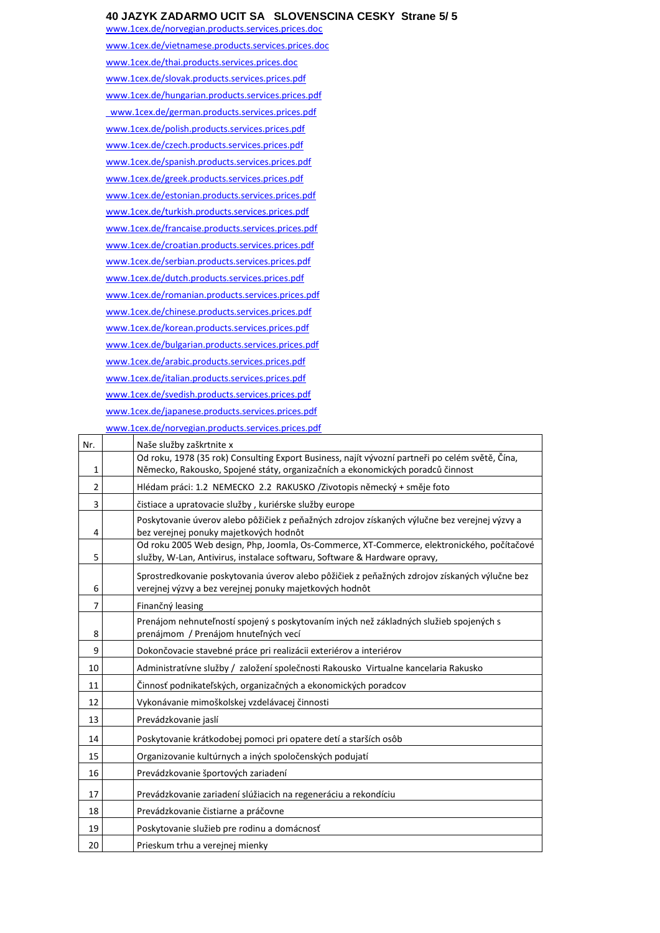#### **40 JAZYK ZADARMO UCIT SA SLOVENSCINA CESKY Strane 5/ 5**

[www.1cex.de/norvegian.products.services.prices.doc](http://www.1cex.org/norvegian.products.services.prices.doc) [www.1cex.de/vietnamese.products.services.prices.doc](http://www.1cex.org/vietnamese.products.services.prices.doc) [www.1cex.de/thai.products.services.prices.doc](http://www.1cex.org/thai.products.services.prices.doc) [www.1cex.de/slovak.products.services.prices.pdf](http://www.1cex.org/slovak.products.services.prices.doc)  [www.1cex.de/hungarian.products.services.prices.pdf](http://www.1cex.org/hungarian.products.services.prices.doc)   [www.1cex.de/german.products.services.prices.pdf](http://www.1cex.org/german.products.services.prices.pdf)  [www.1cex.de/polish.products.services.prices.pdf](http://www.1cex.org/polish.products.services.prices.pdf) [www.1cex.de/czech.products.services.prices.pdf](http://www.1cex.org/czech.products.services.prices.pdf) [www.1cex.de/spanish.products.services.prices.pdf](http://www.1cex.org/spanish.products.services.prices.pdf) [www.1cex.de/greek.products.services.prices.pdf](http://www.1cex.org/greek.products.services.prices.doc) [www.1cex.de/estonian.products.services.prices.pdf](http://www.1cex.org/estonian.products.services.prices.doc) [www.1cex.de/turkish.products.services.prices.pdf](http://www.1cex.org/turkish.products.services.prices.doc) [www.1cex.de/francaise.products.services.prices.pdf](http://www.1cex.org/francaise.products.services.prices.doc) [www.1cex.de/croatian.products.services.prices.pdf](http://www.1cex.org/croatian.products.services.prices.doc) [www.1cex.de/serbian.products.services.prices.pdf](http://www.1cex.org/serbian.products.services.prices.doc) [www.1cex.de/dutch.products.services.prices.pdf](http://www.1cex.org/dutch.products.services.prices.doc) [www.1cex.de/romanian.products.services.prices.pdf](http://www.1cex.org/romanian.products.services.prices.doc) [www.1cex.de/chinese.products.services.prices.pdf](http://www.1cex.org/chinese.products.services.prices.doc) [www.1cex.de/korean.products.services.prices.pdf](http://www.1cex.org/korean.products.services.prices.doc) [www.1cex.de/bulgarian.products.services.prices.pdf](http://www.1cex.org/bulgarian.products.services.prices.pdf) [www.1cex.de/arabic.products.services.prices.pdf](http://www.1cex.org/arabic.products.services.prices.doc) [www.1cex.de/italian.products.services.prices.pdf](http://www.1cex.org/italian.products.services.prices.doc)  [www.1cex.de/svedish.products.services.prices.pdf](http://www.1cex.org/svedish.products.services.prices.doc) [www.1cex.de/japanese.products.services.prices.pdf](http://www.1cex.org/japanese.products.services.prices.doc) [www.1cex.de/norvegian.products.services.prices.pdf](http://www.1cex.org/norvegian.products.services.prices.doc)

| Nr. | Naše služby zaškrtnite x                                                                                                                                                          |
|-----|-----------------------------------------------------------------------------------------------------------------------------------------------------------------------------------|
| 1   | Od roku, 1978 (35 rok) Consulting Export Business, najít vývozní partneři po celém světě, Čína,<br>Německo, Rakousko, Spojené státy, organizačních a ekonomických poradců činnost |
| 2   | Hlédam práci: 1.2 NEMECKO 2.2 RAKUSKO /Zivotopis německý + směje foto                                                                                                             |
| 3   | čistiace a upratovacie služby, kuriérske služby europe                                                                                                                            |
| 4   | Poskytovanie úverov alebo pôžičiek z peňažných zdrojov získaných výlučne bez verejnej výzvy a<br>bez verejnej ponuky majetkových hodnôt                                           |
| 5   | Od roku 2005 Web design, Php, Joomla, Os-Commerce, XT-Commerce, elektronického, počítačové<br>služby, W-Lan, Antivirus, instalace softwaru, Software & Hardware opravy,           |
| 6   | Sprostredkovanie poskytovania úverov alebo pôžičiek z peňažných zdrojov získaných výlučne bez<br>verejnej výzvy a bez verejnej ponuky majetkových hodnôt                          |
| 7   | Finančný leasing                                                                                                                                                                  |
| 8   | Prenájom nehnuteľností spojený s poskytovaním iných než základných služieb spojených s<br>prenájmom / Prenájom hnuteľných vecí                                                    |
| 9   | Dokončovacie stavebné práce pri realizácii exteriérov a interiérov                                                                                                                |
| 10  | Administratívne služby / založení společnosti Rakousko Virtualne kancelaria Rakusko                                                                                               |
| 11  | Činnosť podnikateľských, organizačných a ekonomických poradcov                                                                                                                    |
| 12  | Vykonávanie mimoškolskej vzdelávacej činnosti                                                                                                                                     |
| 13  | Prevádzkovanie jaslí                                                                                                                                                              |
| 14  | Poskytovanie krátkodobej pomoci pri opatere detí a starších osôb                                                                                                                  |
| 15  | Organizovanie kultúrnych a iných spoločenských podujatí                                                                                                                           |
| 16  | Prevádzkovanie športových zariadení                                                                                                                                               |
| 17  | Prevádzkovanie zariadení slúžiacich na regeneráciu a rekondíciu                                                                                                                   |
| 18  | Prevádzkovanie čistiarne a práčovne                                                                                                                                               |
| 19  | Poskytovanie služieb pre rodinu a domácnosť                                                                                                                                       |
| 20  | Prieskum trhu a verejnej mienky                                                                                                                                                   |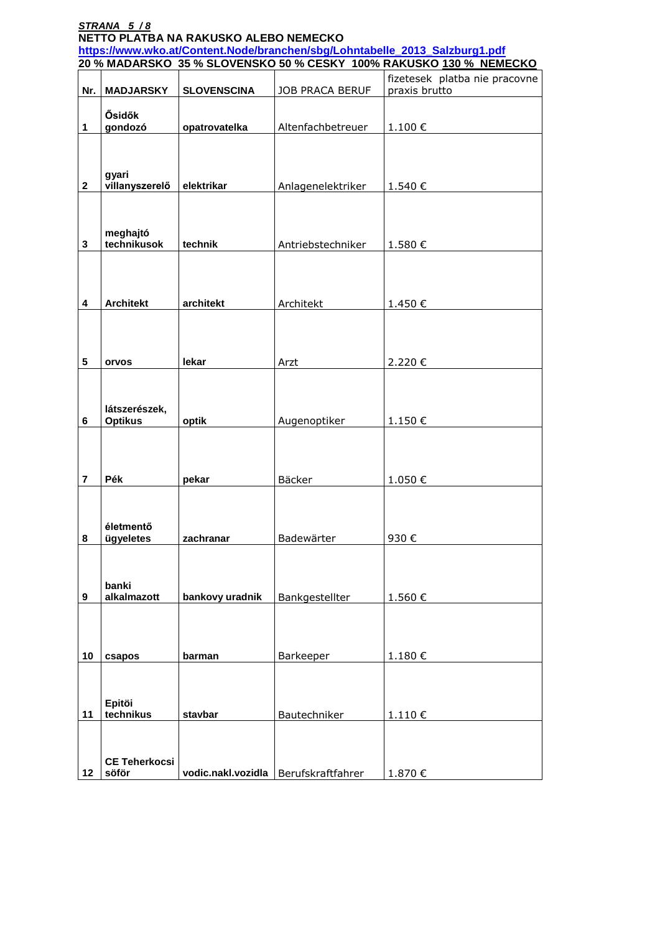| STRANA 5/8<br>NETTO PLATBA NA RAKUSKO ALEBO NEMECKO |                                                                                                                                                   |                    |                                        |                                                |  |  |
|-----------------------------------------------------|---------------------------------------------------------------------------------------------------------------------------------------------------|--------------------|----------------------------------------|------------------------------------------------|--|--|
|                                                     | https://www.wko.at/Content.Node/branchen/sbg/Lohntabelle_2013_Salzburg1.pdf<br>20 % MADARSKO 35 % SLOVENSKO 50 % CESKY 100% RAKUSKO 130 % NEMECKO |                    |                                        |                                                |  |  |
| Nr.                                                 | <b>MADJARSKY</b>                                                                                                                                  | <b>SLOVENSCINA</b> | <b>JOB PRACA BERUF</b>                 | fizetesek platba nie pracovne<br>praxis brutto |  |  |
| 1                                                   | Ősidők<br>gondozó                                                                                                                                 | opatrovatelka      | Altenfachbetreuer                      | 1.100€                                         |  |  |
| $\mathbf{2}$                                        | gyari<br>villanyszerelő                                                                                                                           | elektrikar         | Anlagenelektriker                      | 1.540 €                                        |  |  |
| 3                                                   | meghajtó<br>technikusok                                                                                                                           | technik            | Antriebstechniker                      | 1.580€                                         |  |  |
| 4                                                   | <b>Architekt</b>                                                                                                                                  | architekt          | Architekt                              | 1.450€                                         |  |  |
|                                                     |                                                                                                                                                   |                    |                                        |                                                |  |  |
| 5                                                   | orvos                                                                                                                                             | lekar              | Arzt                                   | 2.220€                                         |  |  |
| 6                                                   | látszerészek,<br><b>Optikus</b>                                                                                                                   | optik              | Augenoptiker                           | 1.150€                                         |  |  |
| 7                                                   | Pék                                                                                                                                               | pekar              | Bäcker                                 | 1.050€                                         |  |  |
| 8                                                   | életmentő<br>ügyeletes                                                                                                                            | zachranar          | Badewärter                             | 930€                                           |  |  |
| 9                                                   | banki<br>alkalmazott                                                                                                                              | bankovy uradnik    | Bankgestellter                         | 1.560€                                         |  |  |
|                                                     |                                                                                                                                                   |                    |                                        |                                                |  |  |
| 10                                                  | csapos                                                                                                                                            | barman             | Barkeeper                              | 1.180€                                         |  |  |
| 11                                                  | Epitöi<br>technikus                                                                                                                               | stavbar            | Bautechniker                           | 1.110€                                         |  |  |
| 12                                                  | <b>CE Teherkocsi</b><br>söför                                                                                                                     |                    | vodic.nakl.vozidla   Berufskraftfahrer | 1.870€                                         |  |  |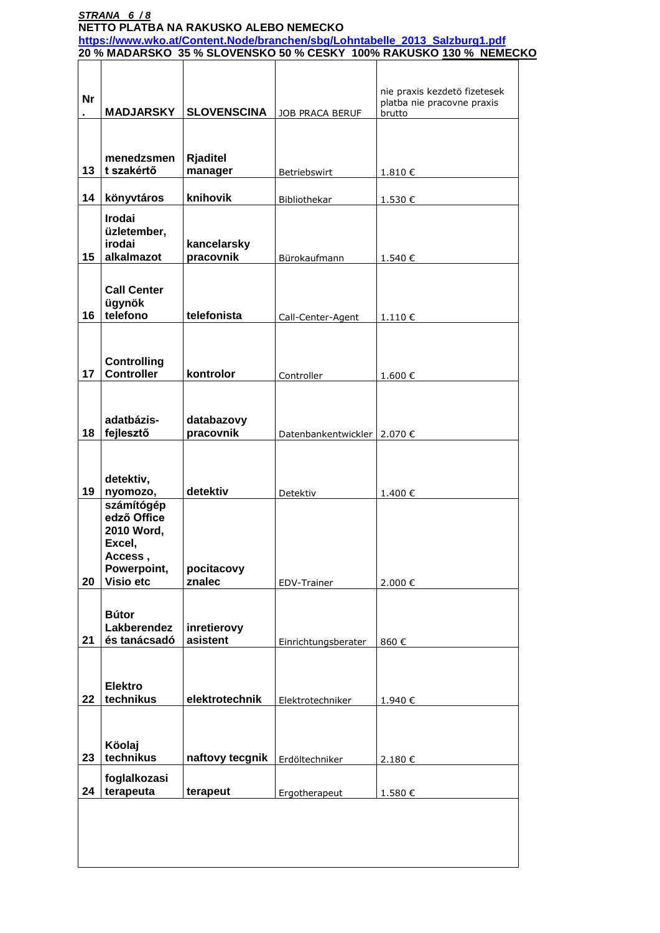|           |                                                                                          |                          |                               | https://www.wko.at/Content.Node/branchen/sbg/Lohntabelle 2013 Salzburg1.pdf<br>20 % MADARSKO 35 % SLOVENSKO 50 % CESKY 100% RAKUSKO 130 % NEMECKO |
|-----------|------------------------------------------------------------------------------------------|--------------------------|-------------------------------|---------------------------------------------------------------------------------------------------------------------------------------------------|
|           |                                                                                          |                          |                               |                                                                                                                                                   |
| <b>Nr</b> | <b>MADJARSKY</b>                                                                         | <b>SLOVENSCINA</b>       | JOB PRACA BERUF               | nie praxis kezdetö fizetesek<br>platba nie pracovne praxis<br>brutto                                                                              |
|           | menedzsmen                                                                               | <b>Rjaditel</b>          |                               |                                                                                                                                                   |
| 13        | t szakértő                                                                               | manager                  | Betriebswirt                  | 1.810€                                                                                                                                            |
| 14        | könyvtáros                                                                               | knihovik                 | Bibliothekar                  | 1.530€                                                                                                                                            |
| 15        | <b>Irodai</b><br>üzletember,<br>irodai<br>alkalmazot                                     | kancelarsky<br>pracovnik | Bürokaufmann                  | 1.540€                                                                                                                                            |
|           | <b>Call Center</b><br>ügynök                                                             |                          |                               |                                                                                                                                                   |
| 16        | telefono                                                                                 | telefonista              | Call-Center-Agent             | 1.110€                                                                                                                                            |
| 17        | <b>Controlling</b><br><b>Controller</b>                                                  | kontrolor                | Controller                    | 1.600€                                                                                                                                            |
| 18        | adatbázis-<br>fejlesztő                                                                  | databazovy<br>pracovnik  | Datenbankentwickler   2.070 € |                                                                                                                                                   |
| 19        | detektiv,<br>nyomozo,                                                                    | detektiv                 | Detektiv                      | 1.400€                                                                                                                                            |
| 20        | számítógép<br>edző Office<br>2010 Word,<br>Excel,<br>Access,<br>Powerpoint,<br>Visio etc | pocitacovy<br>znalec     | EDV-Trainer                   | 2.000€                                                                                                                                            |
|           | <b>Bútor</b><br>Lakberendez                                                              | inretierovy              |                               |                                                                                                                                                   |
| 21        | és tanácsadó                                                                             | asistent                 | Einrichtungsberater           | 860€                                                                                                                                              |
| 22        | <b>Elektro</b><br>technikus                                                              | elektrotechnik           | Elektrotechniker              | 1.940€                                                                                                                                            |
| 23        | Köolaj<br>technikus                                                                      | naftovy tecgnik          | Erdöltechniker                | 2.180€                                                                                                                                            |
|           | foglalkozasi<br>terapeuta                                                                | terapeut                 | Ergotherapeut                 | 1.580€                                                                                                                                            |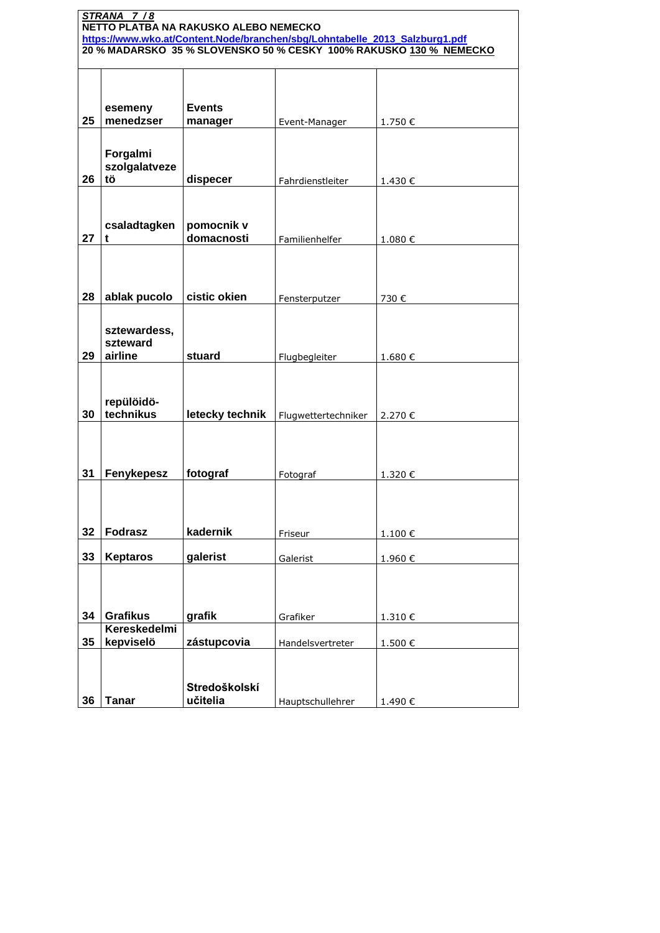| STRANA 7/8<br>NETTO PLATBA NA RAKUSKO ALEBO NEMECKO                                                                                               |                      |                          |                     |         |
|---------------------------------------------------------------------------------------------------------------------------------------------------|----------------------|--------------------------|---------------------|---------|
| https://www.wko.at/Content.Node/branchen/sbg/Lohntabelle_2013_Salzburg1.pdf<br>20 % MADARSKO 35 % SLOVENSKO 50 % CESKY 100% RAKUSKO 130 % NEMECKO |                      |                          |                     |         |
|                                                                                                                                                   |                      |                          |                     |         |
|                                                                                                                                                   |                      |                          |                     |         |
|                                                                                                                                                   |                      | <b>Events</b>            |                     |         |
| 25                                                                                                                                                | esemeny<br>menedzser | manager                  | Event-Manager       | 1.750€  |
|                                                                                                                                                   |                      |                          |                     |         |
|                                                                                                                                                   | Forgalmi             |                          |                     |         |
| 26                                                                                                                                                | szolgalatveze<br>tö  | dispecer                 | Fahrdienstleiter    | 1.430€  |
|                                                                                                                                                   |                      |                          |                     |         |
|                                                                                                                                                   |                      |                          |                     |         |
|                                                                                                                                                   | csaladtagken         | pomocnik v<br>domacnosti |                     |         |
| 27                                                                                                                                                | t                    |                          | Familienhelfer      | 1.080€  |
|                                                                                                                                                   |                      |                          |                     |         |
|                                                                                                                                                   |                      |                          |                     |         |
| 28                                                                                                                                                | ablak pucolo         | cistic okien             | Fensterputzer       | 730€    |
|                                                                                                                                                   | sztewardess,         |                          |                     |         |
|                                                                                                                                                   | szteward             |                          |                     |         |
| 29                                                                                                                                                | airline              | stuard                   | Flugbegleiter       | 1.680€  |
|                                                                                                                                                   |                      |                          |                     |         |
|                                                                                                                                                   | repülöidö-           |                          |                     |         |
| 30                                                                                                                                                | technikus            | letecky technik          | Flugwettertechniker | 2.270€  |
|                                                                                                                                                   |                      |                          |                     |         |
|                                                                                                                                                   |                      |                          |                     |         |
| 31                                                                                                                                                | Fenykepesz           | fotograf                 | Fotograf            | 1.320 € |
|                                                                                                                                                   |                      |                          |                     |         |
|                                                                                                                                                   |                      |                          |                     |         |
| 32                                                                                                                                                | <b>Fodrasz</b>       | kadernik                 | Friseur             | 1.100€  |
| 33                                                                                                                                                | <b>Keptaros</b>      | galerist                 | Galerist            | 1.960€  |
|                                                                                                                                                   |                      |                          |                     |         |
|                                                                                                                                                   |                      |                          |                     |         |
| 34                                                                                                                                                | <b>Grafikus</b>      | grafik                   | Grafiker            | 1.310€  |
|                                                                                                                                                   | Kereskedelmi         |                          |                     |         |
| 35                                                                                                                                                | kepviselö            | zástupcovia              | Handelsvertreter    | 1.500€  |
|                                                                                                                                                   |                      |                          |                     |         |
|                                                                                                                                                   |                      | Stredoškolskí            |                     |         |
| 36                                                                                                                                                | <b>Tanar</b>         | učitelia                 | Hauptschullehrer    | 1.490€  |